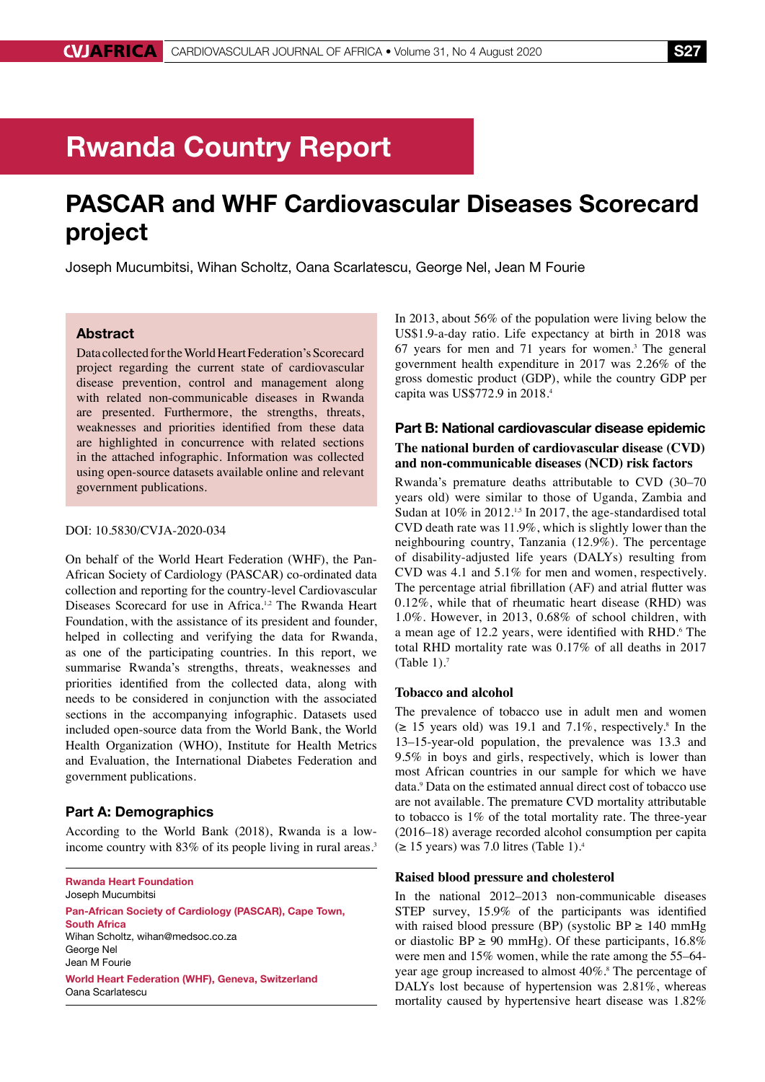# Rwanda Country Report

# PASCAR and WHF Cardiovascular Diseases Scorecard project

Joseph Mucumbitsi, Wihan Scholtz, Oana Scarlatescu, George Nel, Jean M Fourie

# Abstract

Data collected for the World Heart Federation's Scorecard project regarding the current state of cardiovascular disease prevention, control and management along with related non-communicable diseases in Rwanda are presented. Furthermore, the strengths, threats, weaknesses and priorities identified from these data are highlighted in concurrence with related sections in the attached infographic. Information was collected using open-source datasets available online and relevant government publications.

# DOI: 10.5830/CVJA-2020-034

On behalf of the World Heart Federation (WHF), the Pan-African Society of Cardiology (PASCAR) co-ordinated data collection and reporting for the country-level Cardiovascular Diseases Scorecard for use in Africa.<sup>1,2</sup> The Rwanda Heart Foundation, with the assistance of its president and founder, helped in collecting and verifying the data for Rwanda, as one of the participating countries. In this report, we summarise Rwanda's strengths, threats, weaknesses and priorities identified from the collected data, along with needs to be considered in conjunction with the associated sections in the accompanying infographic. Datasets used included open-source data from the World Bank, the World Health Organization (WHO), Institute for Health Metrics and Evaluation, the International Diabetes Federation and government publications.

# Part A: Demographics

According to the World Bank (2018), Rwanda is a lowincome country with 83% of its people living in rural areas.<sup>3</sup>

Rwanda Heart Foundation Joseph Mucumbitsi

Pan-African Society of Cardiology (PASCAR), Cape Town, South Africa Wihan Scholtz, wihan@medsoc.co.za George Nel Jean M Fourie World Heart Federation (WHF), Geneva, Switzerland Oana Scarlatescu

In 2013, about 56% of the population were living below the US\$1.9-a-day ratio. Life expectancy at birth in 2018 was 67 years for men and 71 years for women.3 The general government health expenditure in 2017 was 2.26% of the gross domestic product (GDP), while the country GDP per capita was US\$772.9 in 2018.4

# Part B: National cardiovascular disease epidemic **The national burden of cardiovascular disease (CVD) and non-communicable diseases (NCD) risk factors**

Rwanda's premature deaths attributable to CVD (30–70 years old) were similar to those of Uganda, Zambia and Sudan at  $10\%$  in 2012.<sup>1,5</sup> In 2017, the age-standardised total CVD death rate was 11.9%, which is slightly lower than the neighbouring country, Tanzania (12.9%). The percentage of disability-adjusted life years (DALYs) resulting from CVD was 4.1 and 5.1% for men and women, respectively. The percentage atrial fibrillation (AF) and atrial flutter was 0.12%, while that of rheumatic heart disease (RHD) was 1.0%. However, in 2013, 0.68% of school children, with a mean age of 12.2 years, were identified with RHD.<sup>6</sup> The total RHD mortality rate was 0.17% of all deaths in 2017 (Table  $1$ ).<sup>7</sup>

#### **Tobacco and alcohol**

The prevalence of tobacco use in adult men and women  $(\geq 15$  years old) was 19.1 and 7.1%, respectively.<sup>8</sup> In the 13–15-year-old population, the prevalence was 13.3 and 9.5% in boys and girls, respectively, which is lower than most African countries in our sample for which we have data.9 Data on the estimated annual direct cost of tobacco use are not available. The premature CVD mortality attributable to tobacco is 1% of the total mortality rate. The three-year (2016–18) average recorded alcohol consumption per capita  $(\geq 15 \text{ years})$  was 7.0 litres (Table 1).<sup>4</sup>

# **Raised blood pressure and cholesterol**

In the national 2012–2013 non-communicable diseases STEP survey, 15.9% of the participants was identified with raised blood pressure (BP) (systolic BP  $\geq$  140 mmHg or diastolic BP  $\geq$  90 mmHg). Of these participants, 16.8% were men and 15% women, while the rate among the 55–64 year age group increased to almost 40%.<sup>8</sup> The percentage of DALYs lost because of hypertension was 2.81%, whereas mortality caused by hypertensive heart disease was 1.82%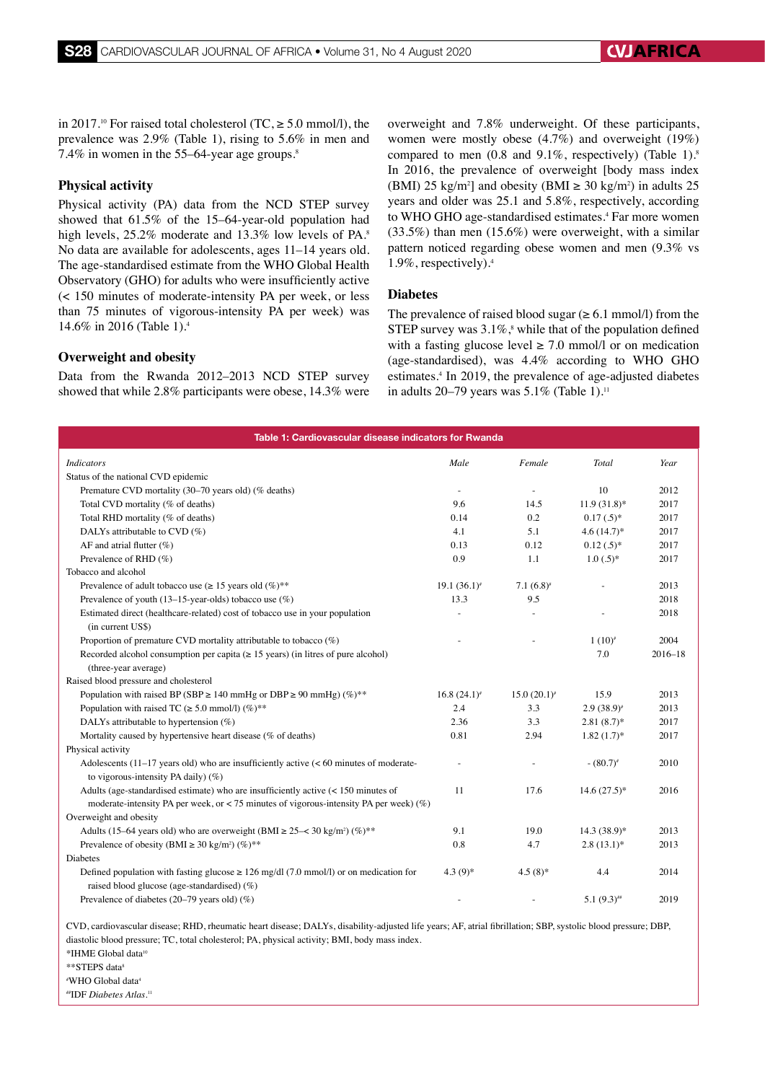in 2017.<sup>10</sup> For raised total cholesterol (TC,  $\geq 5.0$  mmol/l), the prevalence was 2.9% (Table 1), rising to 5.6% in men and 7.4% in women in the 55–64-year age groups.8

# **Physical activity**

Physical activity (PA) data from the NCD STEP survey showed that 61.5% of the 15–64-year-old population had high levels, 25.2% moderate and 13.3% low levels of PA.<sup>8</sup> No data are available for adolescents, ages 11–14 years old. The age-standardised estimate from the WHO Global Health Observatory (GHO) for adults who were insufficiently active (< 150 minutes of moderate-intensity PA per week, or less than 75 minutes of vigorous-intensity PA per week) was 14.6% in 2016 (Table 1).4

# **Overweight and obesity**

Data from the Rwanda 2012–2013 NCD STEP survey showed that while 2.8% participants were obese, 14.3% were overweight and 7.8% underweight. Of these participants, women were mostly obese (4.7%) and overweight (19%) compared to men  $(0.8 \text{ and } 9.1\%$ , respectively) (Table 1).<sup>8</sup> In 2016, the prevalence of overweight [body mass index (BMI) 25 kg/m<sup>2</sup>] and obesity (BMI  $\geq$  30 kg/m<sup>2</sup>) in adults 25 years and older was 25.1 and 5.8%, respectively, according to WHO GHO age-standardised estimates.<sup>4</sup> Far more women (33.5%) than men (15.6%) were overweight, with a similar pattern noticed regarding obese women and men (9.3% vs 1.9%, respectively).4

### **Diabetes**

The prevalence of raised blood sugar  $(\geq 6.1 \text{ mmol/l})$  from the STEP survey was  $3.1\%$ ,<sup>8</sup> while that of the population defined with a fasting glucose level  $\geq$  7.0 mmol/l or on medication (age-standardised), was 4.4% according to WHO GHO estimates.<sup>4</sup> In 2019, the prevalence of age-adjusted diabetes in adults 20–79 years was  $5.1\%$  (Table 1).<sup>11</sup>

| Table 1: Cardiovascular disease indicators for Rwanda                                                                                                                                   |                   |                   |                 |             |
|-----------------------------------------------------------------------------------------------------------------------------------------------------------------------------------------|-------------------|-------------------|-----------------|-------------|
| <b>Indicators</b>                                                                                                                                                                       | Male              | Female            | Total           | Year        |
| Status of the national CVD epidemic                                                                                                                                                     |                   |                   |                 |             |
| Premature CVD mortality (30–70 years old) (% deaths)                                                                                                                                    |                   |                   | 10              | 2012        |
| Total CVD mortality (% of deaths)                                                                                                                                                       | 9.6               | 14.5              | $11.9(31.8)$ *  | 2017        |
| Total RHD mortality (% of deaths)                                                                                                                                                       | 0.14              | 0.2               | $0.17(.5)^*$    | 2017        |
| DALYs attributable to CVD (%)                                                                                                                                                           | 4.1               | 5.1               | $4.6(14.7)$ *   | 2017        |
| AF and atrial flutter $(\%)$                                                                                                                                                            | 0.13              | 0.12              | $0.12(.5)^*$    | 2017        |
| Prevalence of RHD (%)                                                                                                                                                                   | 0.9               | 1.1               | $1.0(.5)*$      | 2017        |
| Tobacco and alcohol                                                                                                                                                                     |                   |                   |                 |             |
| Prevalence of adult tobacco use ( $\geq 15$ years old (%)**                                                                                                                             | $19.1 (36.1)^{*}$ | $7.1(6.8)^*$      |                 | 2013        |
| Prevalence of youth (13–15-year-olds) tobacco use $(\%)$                                                                                                                                | 13.3              | 9.5               |                 | 2018        |
| Estimated direct (healthcare-related) cost of tobacco use in your population<br>(in current US\$)                                                                                       |                   |                   |                 | 2018        |
| Proportion of premature CVD mortality attributable to tobacco (%)                                                                                                                       |                   |                   | $1(10)^{t}$     | 2004        |
| Recorded alcohol consumption per capita $( \ge 15 \text{ years})$ (in litres of pure alcohol)<br>(three-year average)                                                                   |                   |                   | 7.0             | $2016 - 18$ |
| Raised blood pressure and cholesterol                                                                                                                                                   |                   |                   |                 |             |
| Population with raised BP (SBP $\geq$ 140 mmHg or DBP $\geq$ 90 mmHg) (%)**                                                                                                             | $16.8 (24.1)^{*}$ | $15.0 (20.1)^{t}$ | 15.9            | 2013        |
| Population with raised TC ( $\geq 5.0$ mmol/l) (%)**                                                                                                                                    | 2.4               | 3.3               | $2.9(38.9)^{*}$ | 2013        |
| DALYs attributable to hypertension $(\%)$                                                                                                                                               | 2.36              | 3.3               | $2.81(8.7)$ *   | 2017        |
| Mortality caused by hypertensive heart disease (% of deaths)                                                                                                                            | 0.81              | 2.94              | $1.82(1.7)$ *   | 2017        |
| Physical activity                                                                                                                                                                       |                   |                   |                 |             |
| Adolescents $(11-17$ years old) who are insufficiently active $(< 60$ minutes of moderate-<br>to vigorous-intensity PA daily) $(\%)$                                                    |                   |                   | $-(80.7)^{*}$   | 2010        |
| Adults (age-standardised estimate) who are insufficiently active $\left($ < 150 minutes of<br>moderate-intensity PA per week, or < 75 minutes of vigorous-intensity PA per week) $(\%)$ | 11                | 17.6              | $14.6(27.5)*$   | 2016        |
| Overweight and obesity                                                                                                                                                                  |                   |                   |                 |             |
| Adults (15–64 years old) who are overweight (BMI $\geq$ 25– $\lt$ 30 kg/m <sup>2</sup> ) (%) <sup>**</sup>                                                                              | 9.1               | 19.0              | $14.3(38.9)*$   | 2013        |
| Prevalence of obesity (BMI $\geq$ 30 kg/m <sup>2</sup> ) (%)**                                                                                                                          | 0.8               | 4.7               | $2.8(13.1)$ *   | 2013        |
| <b>Diabetes</b>                                                                                                                                                                         |                   |                   |                 |             |
| Defined population with fasting glucose $\geq 126$ mg/dl (7.0 mmol/l) or on medication for<br>raised blood glucose (age-standardised) $(\%)$                                            | $4.3(9)*$         | $4.5(8)$ *        | 4.4             | 2014        |
| Prevalence of diabetes $(20-79 \text{ years old})$ (%)                                                                                                                                  |                   |                   | $5.1(9.3)$ ##   | 2019        |
| $CVD$ condiguoscular discoscu $DHD$ rhoungtig boart discoscu $DAIV2$ dischility ediverted life years: $AE$ strip finillation: CDD systems $DDD$                                         |                   |                   |                 |             |

CVD, cardiovascular disease; RHD, rheumatic heart disease; DALYs, disability-adjusted life years; AF, atrial fibrillation; SBP, systolic blood pressure; DBP, diastolic blood pressure; TC, total cholesterol; PA, physical activity; BMI, body mass index. \*IHME Global data10

\*\*STEPS data8

# WHO Global data4

##IDF *Diabetes Atlas*. 11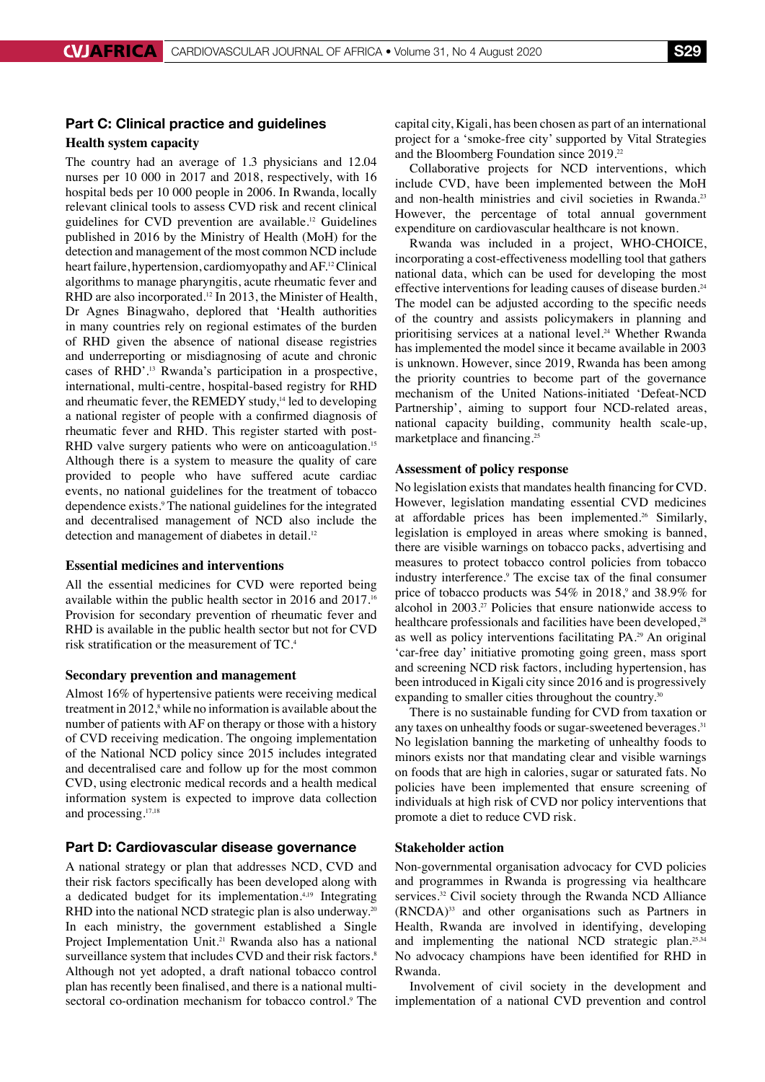# Part C: Clinical practice and guidelines

# **Health system capacity**

The country had an average of 1.3 physicians and 12.04 nurses per 10 000 in 2017 and 2018, respectively, with 16 hospital beds per 10 000 people in 2006. In Rwanda, locally relevant clinical tools to assess CVD risk and recent clinical guidelines for CVD prevention are available.12 Guidelines published in 2016 by the Ministry of Health (MoH) for the detection and management of the most common NCD include heart failure, hypertension, cardiomyopathy and AF.12 Clinical algorithms to manage pharyngitis, acute rheumatic fever and RHD are also incorporated.<sup>12</sup> In 2013, the Minister of Health, Dr Agnes Binagwaho, deplored that 'Health authorities in many countries rely on regional estimates of the burden of RHD given the absence of national disease registries and underreporting or misdiagnosing of acute and chronic cases of RHD'.13 Rwanda's participation in a prospective, international, multi-centre, hospital-based registry for RHD and rheumatic fever, the REMEDY study,<sup>14</sup> led to developing a national register of people with a confirmed diagnosis of rheumatic fever and RHD. This register started with post-RHD valve surgery patients who were on anticoagulation.<sup>15</sup> Although there is a system to measure the quality of care provided to people who have suffered acute cardiac events, no national guidelines for the treatment of tobacco dependence exists.<sup>9</sup> The national guidelines for the integrated and decentralised management of NCD also include the detection and management of diabetes in detail.<sup>12</sup>

#### **Essential medicines and interventions**

All the essential medicines for CVD were reported being available within the public health sector in 2016 and 2017.<sup>16</sup> Provision for secondary prevention of rheumatic fever and RHD is available in the public health sector but not for CVD risk stratification or the measurement of TC.<sup>4</sup>

#### **Secondary prevention and management**

Almost 16% of hypertensive patients were receiving medical treatment in  $2012$ ,<sup>8</sup> while no information is available about the number of patients with AF on therapy or those with a history of CVD receiving medication. The ongoing implementation of the National NCD policy since 2015 includes integrated and decentralised care and follow up for the most common CVD, using electronic medical records and a health medical information system is expected to improve data collection and processing.17,18

#### Part D: Cardiovascular disease governance

A national strategy or plan that addresses NCD, CVD and their risk factors specifically has been developed along with a dedicated budget for its implementation.<sup>4,19</sup> Integrating RHD into the national NCD strategic plan is also underway.<sup>20</sup> In each ministry, the government established a Single Project Implementation Unit.<sup>21</sup> Rwanda also has a national surveillance system that includes CVD and their risk factors.<sup>8</sup> Although not yet adopted, a draft national tobacco control plan has recently been finalised, and there is a national multisectoral co-ordination mechanism for tobacco control.<sup>9</sup> The capital city, Kigali, has been chosen as part of an international project for a 'smoke-free city' supported by Vital Strategies and the Bloomberg Foundation since 2019.22

Collaborative projects for NCD interventions, which include CVD, have been implemented between the MoH and non-health ministries and civil societies in Rwanda.<sup>23</sup> However, the percentage of total annual government expenditure on cardiovascular healthcare is not known.

Rwanda was included in a project, WHO-CHOICE, incorporating a cost-effectiveness modelling tool that gathers national data, which can be used for developing the most effective interventions for leading causes of disease burden.<sup>24</sup> The model can be adjusted according to the specific needs of the country and assists policymakers in planning and prioritising services at a national level.<sup>24</sup> Whether Rwanda has implemented the model since it became available in 2003 is unknown. However, since 2019, Rwanda has been among the priority countries to become part of the governance mechanism of the United Nations-initiated 'Defeat-NCD Partnership', aiming to support four NCD-related areas, national capacity building, community health scale-up, marketplace and financing.<sup>25</sup>

### **Assessment of policy response**

No legislation exists that mandates health financing for CVD. However, legislation mandating essential CVD medicines at affordable prices has been implemented.<sup>26</sup> Similarly, legislation is employed in areas where smoking is banned, there are visible warnings on tobacco packs, advertising and measures to protect tobacco control policies from tobacco industry interference.<sup>9</sup> The excise tax of the final consumer price of tobacco products was  $54\%$  in  $2018$ ,<sup>9</sup> and  $38.9\%$  for alcohol in 2003.27 Policies that ensure nationwide access to healthcare professionals and facilities have been developed,<sup>28</sup> as well as policy interventions facilitating PA.<sup>29</sup> An original 'car-free day' initiative promoting going green, mass sport and screening NCD risk factors, including hypertension, has been introduced in Kigali city since 2016 and is progressively expanding to smaller cities throughout the country.<sup>30</sup>

There is no sustainable funding for CVD from taxation or any taxes on unhealthy foods or sugar-sweetened beverages.<sup>31</sup> No legislation banning the marketing of unhealthy foods to minors exists nor that mandating clear and visible warnings on foods that are high in calories, sugar or saturated fats. No policies have been implemented that ensure screening of individuals at high risk of CVD nor policy interventions that promote a diet to reduce CVD risk.

#### **Stakeholder action**

Non-governmental organisation advocacy for CVD policies and programmes in Rwanda is progressing via healthcare services.<sup>32</sup> Civil society through the Rwanda NCD Alliance (RNCDA)33 and other organisations such as Partners in Health, Rwanda are involved in identifying, developing and implementing the national NCD strategic plan.25,34 No advocacy champions have been identified for RHD in Rwanda.

Involvement of civil society in the development and implementation of a national CVD prevention and control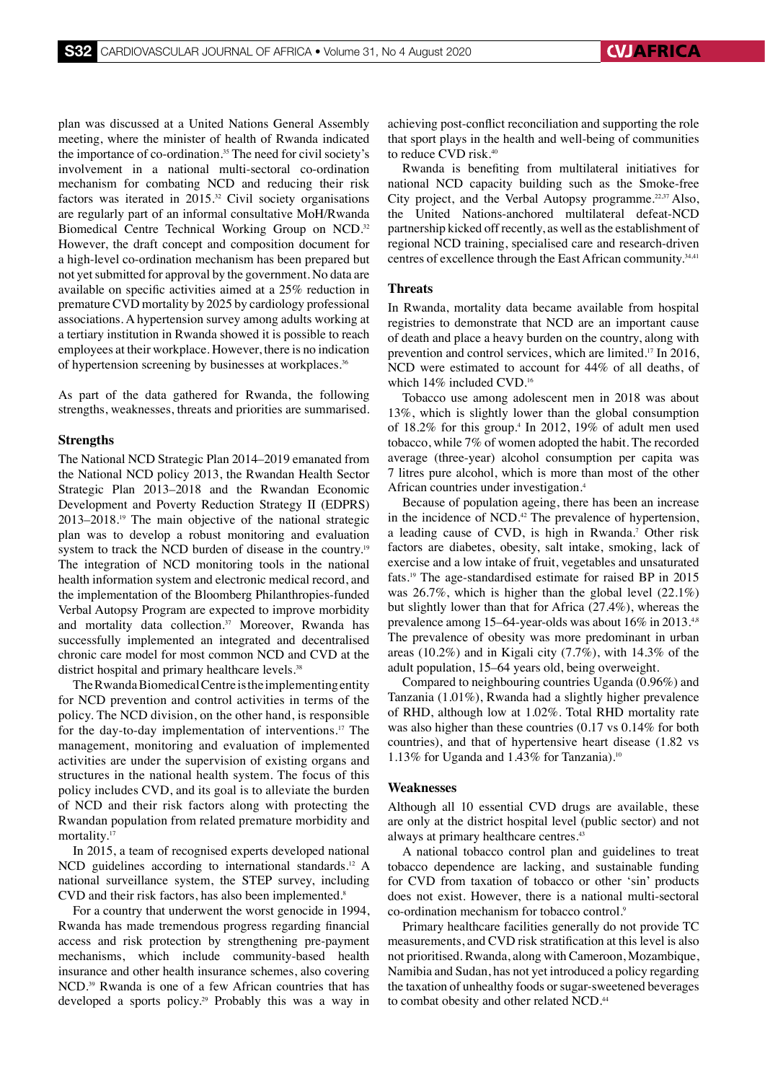plan was discussed at a United Nations General Assembly meeting, where the minister of health of Rwanda indicated the importance of co-ordination.35 The need for civil society's involvement in a national multi-sectoral co-ordination mechanism for combating NCD and reducing their risk factors was iterated in  $2015^{32}$  Civil society organisations are regularly part of an informal consultative MoH/Rwanda Biomedical Centre Technical Working Group on NCD.32 However, the draft concept and composition document for a high-level co-ordination mechanism has been prepared but not yet submitted for approval by the government. No data are available on specific activities aimed at a 25% reduction in premature CVD mortality by 2025 by cardiology professional associations. A hypertension survey among adults working at a tertiary institution in Rwanda showed it is possible to reach employees at their workplace. However, there is no indication of hypertension screening by businesses at workplaces.36

As part of the data gathered for Rwanda, the following strengths, weaknesses, threats and priorities are summarised.

#### **Strengths**

The National NCD Strategic Plan 2014–2019 emanated from the National NCD policy 2013, the Rwandan Health Sector Strategic Plan 2013–2018 and the Rwandan Economic Development and Poverty Reduction Strategy II (EDPRS) 2013–2018.19 The main objective of the national strategic plan was to develop a robust monitoring and evaluation system to track the NCD burden of disease in the country.<sup>19</sup> The integration of NCD monitoring tools in the national health information system and electronic medical record, and the implementation of the Bloomberg Philanthropies-funded Verbal Autopsy Program are expected to improve morbidity and mortality data collection.<sup>37</sup> Moreover, Rwanda has successfully implemented an integrated and decentralised chronic care model for most common NCD and CVD at the district hospital and primary healthcare levels.<sup>38</sup>

The Rwanda Biomedical Centre is the implementing entity for NCD prevention and control activities in terms of the policy. The NCD division, on the other hand, is responsible for the day-to-day implementation of interventions.17 The management, monitoring and evaluation of implemented activities are under the supervision of existing organs and structures in the national health system. The focus of this policy includes CVD, and its goal is to alleviate the burden of NCD and their risk factors along with protecting the Rwandan population from related premature morbidity and mortality.<sup>17</sup>

In 2015, a team of recognised experts developed national NCD guidelines according to international standards.<sup>12</sup> A national surveillance system, the STEP survey, including CVD and their risk factors, has also been implemented.<sup>8</sup>

For a country that underwent the worst genocide in 1994, Rwanda has made tremendous progress regarding financial access and risk protection by strengthening pre-payment mechanisms, which include community-based health insurance and other health insurance schemes, also covering NCD.39 Rwanda is one of a few African countries that has developed a sports policy.<sup>29</sup> Probably this was a way in

achieving post-conflict reconciliation and supporting the role that sport plays in the health and well-being of communities to reduce CVD risk.40

Rwanda is benefiting from multilateral initiatives for national NCD capacity building such as the Smoke-free City project, and the Verbal Autopsy programme.22,37 Also, the United Nations-anchored multilateral defeat-NCD partnership kicked off recently, as well as the establishment of regional NCD training, specialised care and research-driven centres of excellence through the East African community.<sup>34,41</sup>

#### **Threats**

In Rwanda, mortality data became available from hospital registries to demonstrate that NCD are an important cause of death and place a heavy burden on the country, along with prevention and control services, which are limited.17 In 2016, NCD were estimated to account for 44% of all deaths, of which 14% included CVD.16

Tobacco use among adolescent men in 2018 was about 13%, which is slightly lower than the global consumption of  $18.2\%$  for this group.<sup>4</sup> In 2012, 19% of adult men used tobacco, while 7% of women adopted the habit. The recorded average (three-year) alcohol consumption per capita was 7 litres pure alcohol, which is more than most of the other African countries under investigation.4

Because of population ageing, there has been an increase in the incidence of NCD.<sup>42</sup> The prevalence of hypertension, a leading cause of CVD, is high in Rwanda.7 Other risk factors are diabetes, obesity, salt intake, smoking, lack of exercise and a low intake of fruit, vegetables and unsaturated fats.19 The age-standardised estimate for raised BP in 2015 was 26.7%, which is higher than the global level (22.1%) but slightly lower than that for Africa (27.4%), whereas the prevalence among 15–64-year-olds was about 16% in 2013.<sup>4,8</sup> The prevalence of obesity was more predominant in urban areas (10.2%) and in Kigali city (7.7%), with 14.3% of the adult population, 15–64 years old, being overweight.

Compared to neighbouring countries Uganda (0.96%) and Tanzania (1.01%), Rwanda had a slightly higher prevalence of RHD, although low at 1.02%. Total RHD mortality rate was also higher than these countries (0.17 vs 0.14% for both countries), and that of hypertensive heart disease (1.82 vs 1.13% for Uganda and 1.43% for Tanzania).<sup>10</sup>

## **Weaknesses**

Although all 10 essential CVD drugs are available, these are only at the district hospital level (public sector) and not always at primary healthcare centres.<sup>43</sup>

A national tobacco control plan and guidelines to treat tobacco dependence are lacking, and sustainable funding for CVD from taxation of tobacco or other 'sin' products does not exist. However, there is a national multi-sectoral co-ordination mechanism for tobacco control.<sup>9</sup>

Primary healthcare facilities generally do not provide TC measurements, and CVD risk stratification at this level is also not prioritised. Rwanda, along with Cameroon, Mozambique, Namibia and Sudan, has not yet introduced a policy regarding the taxation of unhealthy foods or sugar-sweetened beverages to combat obesity and other related NCD.<sup>44</sup>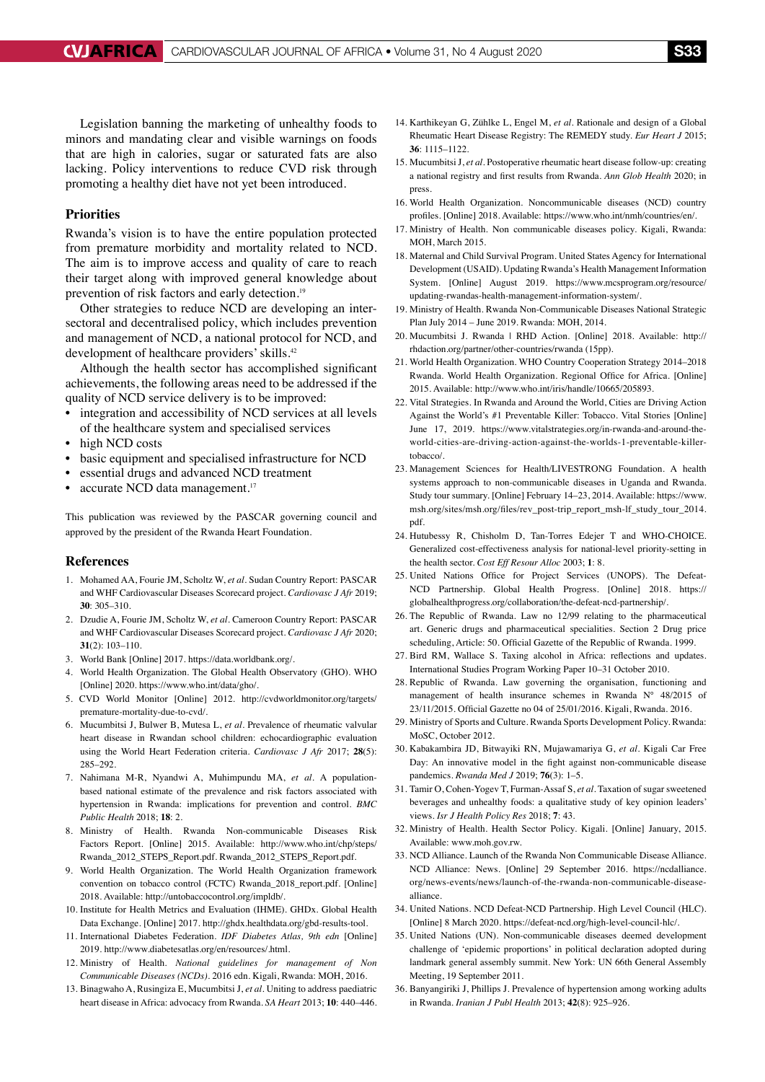Legislation banning the marketing of unhealthy foods to minors and mandating clear and visible warnings on foods that are high in calories, sugar or saturated fats are also lacking. Policy interventions to reduce CVD risk through promoting a healthy diet have not yet been introduced.

# **Priorities**

Rwanda's vision is to have the entire population protected from premature morbidity and mortality related to NCD. The aim is to improve access and quality of care to reach their target along with improved general knowledge about prevention of risk factors and early detection.<sup>19</sup>

Other strategies to reduce NCD are developing an intersectoral and decentralised policy, which includes prevention and management of NCD, a national protocol for NCD, and development of healthcare providers' skills.42

Although the health sector has accomplished significant achievements, the following areas need to be addressed if the quality of NCD service delivery is to be improved:

- integration and accessibility of NCD services at all levels of the healthcare system and specialised services
- high NCD costs
- basic equipment and specialised infrastructure for NCD
- essential drugs and advanced NCD treatment
- accurate NCD data management.<sup>17</sup>

This publication was reviewed by the PASCAR governing council and approved by the president of the Rwanda Heart Foundation.

#### **References**

- 1. Mohamed AA, Fourie JM, Scholtz W, *et al.* Sudan Country Report: PASCAR and WHF Cardiovascular Diseases Scorecard project. *Cardiovasc J Afr* 2019; **30**: 305–310.
- 2. Dzudie A, Fourie JM, Scholtz W, *et al.* Cameroon Country Report: PASCAR and WHF Cardiovascular Diseases Scorecard project. *Cardiovasc J Afr* 2020; **31**(2): 103–110.
- 3. World Bank [Online] 2017. https://data.worldbank.org/.
- 4. World Health Organization. The Global Health Observatory (GHO). WHO [Online] 2020. https://www.who.int/data/gho/.
- 5. CVD World Monitor [Online] 2012. http://cvdworldmonitor.org/targets/ premature-mortality-due-to-cvd/.
- 6. Mucumbitsi J, Bulwer B, Mutesa L, *et al.* Prevalence of rheumatic valvular heart disease in Rwandan school children: echocardiographic evaluation using the World Heart Federation criteria. *Cardiovasc J Afr* 2017; **28**(5): 285–292.
- 7. Nahimana M-R, Nyandwi A, Muhimpundu MA, *et al.* A populationbased national estimate of the prevalence and risk factors associated with hypertension in Rwanda: implications for prevention and control. *BMC Public Health* 2018; **18**: 2.
- 8. Ministry of Health. Rwanda Non-communicable Diseases Risk Factors Report. [Online] 2015. Available: http://www.who.int/chp/steps/ Rwanda\_2012\_STEPS\_Report.pdf. Rwanda\_2012\_STEPS\_Report.pdf.
- 9. World Health Organization. The World Health Organization framework convention on tobacco control (FCTC) Rwanda\_2018\_report.pdf. [Online] 2018. Available: http://untobaccocontrol.org/impldb/.
- 10. Institute for Health Metrics and Evaluation (IHME). GHDx. Global Health Data Exchange. [Online] 2017. http://ghdx.healthdata.org/gbd-results-tool.
- 11. International Diabetes Federation. *IDF Diabetes Atlas, 9th edn* [Online] 2019. http://www.diabetesatlas.org/en/resources/.html.
- 12. Ministry of Health. *National guidelines for management of Non Communicable Diseases (NCDs)*. 2016 edn. Kigali, Rwanda: MOH, 2016.
- 13. Binagwaho A, Rusingiza E, Mucumbitsi J, *et al.* Uniting to address paediatric heart disease in Africa: advocacy from Rwanda. *SA Heart* 2013; **10**: 440–446.
- 14. Karthikeyan G, Zühlke L, Engel M, *et al.* Rationale and design of a Global Rheumatic Heart Disease Registry: The REMEDY study. *Eur Heart J* 2015; **36**: 1115–1122.
- 15. Mucumbitsi J, *et al.* Postoperative rheumatic heart disease follow-up: creating a national registry and first results from Rwanda. *Ann Glob Health* 2020; in press.
- 16. World Health Organization. Noncommunicable diseases (NCD) country profiles. [Online] 2018. Available: https://www.who.int/nmh/countries/en/.
- 17. Ministry of Health. Non communicable diseases policy. Kigali, Rwanda: MOH, March 2015.
- 18. Maternal and Child Survival Program. United States Agency for International Development (USAID). Updating Rwanda's Health Management Information System. [Online] August 2019. https://www.mcsprogram.org/resource/ updating-rwandas-health-management-information-system/.
- 19. Ministry of Health. Rwanda Non-Communicable Diseases National Strategic Plan July 2014 – June 2019. Rwanda: MOH, 2014.
- 20. Mucumbitsi J. Rwanda | RHD Action. [Online] 2018. Available: http:// rhdaction.org/partner/other-countries/rwanda (15pp).
- 21. World Health Organization. WHO Country Cooperation Strategy 2014–2018 Rwanda. World Health Organization. Regional Office for Africa. [Online] 2015. Available: http://www.who.int/iris/handle/10665/205893.
- 22. Vital Strategies. In Rwanda and Around the World, Cities are Driving Action Against the World's #1 Preventable Killer: Tobacco. Vital Stories [Online] June 17, 2019. https://www.vitalstrategies.org/in-rwanda-and-around-theworld-cities-are-driving-action-against-the-worlds-1-preventable-killertobacco/.
- 23. Management Sciences for Health/LIVESTRONG Foundation. A health systems approach to non-communicable diseases in Uganda and Rwanda. Study tour summary. [Online] February 14–23, 2014. Available: https://www. msh.org/sites/msh.org/files/rev\_post-trip\_report\_msh-lf\_study\_tour\_2014. pdf.
- 24. Hutubessy R, Chisholm D, Tan-Torres Edejer T and WHO-CHOICE. Generalized cost-effectiveness analysis for national-level priority-setting in the health sector. *Cost Eff Resour Alloc* 2003; **1**: 8.
- 25. United Nations Office for Project Services (UNOPS). The Defeat-NCD Partnership. Global Health Progress. [Online] 2018. https:// globalhealthprogress.org/collaboration/the-defeat-ncd-partnership/.
- 26. The Republic of Rwanda. Law no 12/99 relating to the pharmaceutical art. Generic drugs and pharmaceutical specialities. Section 2 Drug price scheduling, Article: 50. Official Gazette of the Republic of Rwanda. 1999.
- 27. Bird RM, Wallace S. Taxing alcohol in Africa: reflections and updates. International Studies Program Working Paper 10–31 October 2010.
- 28. Republic of Rwanda. Law governing the organisation, functioning and management of health insurance schemes in Rwanda N° 48/2015 of 23/11/2015. Official Gazette no 04 of 25/01/2016. Kigali, Rwanda. 2016.
- 29. Ministry of Sports and Culture. Rwanda Sports Development Policy. Rwanda: MoSC, October 2012.
- 30. Kabakambira JD, Bitwayiki RN, Mujawamariya G, *et al.* Kigali Car Free Day: An innovative model in the fight against non-communicable disease pandemics. *Rwanda Med J* 2019; **76**(3): 1–5.
- 31. Tamir O, Cohen-Yogev T, Furman-Assaf S, *et al.* Taxation of sugar sweetened beverages and unhealthy foods: a qualitative study of key opinion leaders' views. *Isr J Health Policy Res* 2018; **7**: 43.
- 32. Ministry of Health. Health Sector Policy. Kigali. [Online] January, 2015. Available: www.moh.gov.rw.
- 33. NCD Alliance. Launch of the Rwanda Non Communicable Disease Alliance. NCD Alliance: News. [Online] 29 September 2016. https://ncdalliance. org/news-events/news/launch-of-the-rwanda-non-communicable-diseasealliance.
- 34. United Nations. NCD Defeat-NCD Partnership. High Level Council (HLC). [Online] 8 March 2020. https://defeat-ncd.org/high-level-council-hlc/.
- 35. United Nations (UN). Non-communicable diseases deemed development challenge of 'epidemic proportions' in political declaration adopted during landmark general assembly summit. New York: UN 66th General Assembly Meeting, 19 September 2011.
- 36. Banyangiriki J, Phillips J. Prevalence of hypertension among working adults in Rwanda. *Iranian J Publ Health* 2013; **42**(8): 925–926.